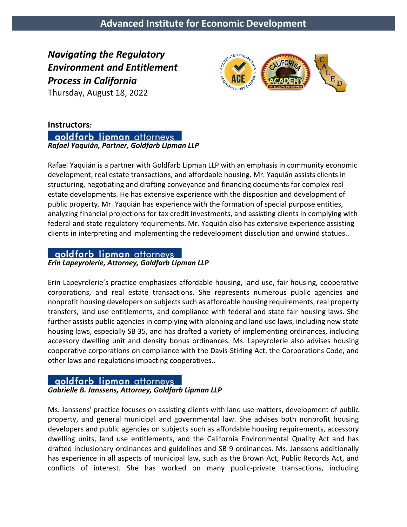*Navigating the Regulatory Environment and Entitlement Process in California* 

Thursday, August 18, 2022



## **Instructors:**

aoldfarb lipman attorneys *Rafael Yaquián, Partner, Goldfarb Lipman LLP*

Rafael Yaquián is a partner with Goldfarb Lipman LLP with an emphasis in community economic development, real estate transactions, and affordable housing. Mr. Yaquián assists clients in structuring, negotiating and drafting conveyance and financing documents for complex real estate developments. He has extensive experience with the disposition and development of public property. Mr. Yaquián has experience with the formation of special purpose entities, analyzing financial projections for tax credit investments, and assisting clients in complying with federal and state regulatory requirements. Mr. Yaquián also has extensive experience assisting clients in interpreting and implementing the redevelopment dissolution and unwind statues..

# goldfarb lipman attorneys

*Erin Lapeyrolerie, Attorney, Goldfarb Lipman LLP*

Erin Lapeyrolerie's practice emphasizes affordable housing, land use, fair housing, cooperative corporations, and real estate transactions. She represents numerous public agencies and nonprofit housing developers on subjects such as affordable housing requirements, real property transfers, land use entitlements, and compliance with federal and state fair housing laws. She further assists public agencies in complying with planning and land use laws, including new state housing laws, especially SB 35, and has drafted a variety of implementing ordinances, including accessory dwelling unit and density bonus ordinances. Ms. Lapeyrolerie also advises housing cooperative corporations on compliance with the Davis-Stirling Act, the Corporations Code, and other laws and regulations impacting cooperatives..

## aoldfarb lipman attorneys

### *Gabrielle B. Janssens, Attorney, Goldfarb Lipman LLP*

Ms. Janssens' practice focuses on assisting clients with land use matters, development of public property, and general municipal and governmental law. She advises both nonprofit housing developers and public agencies on subjects such as affordable housing requirements, accessory dwelling units, land use entitlements, and the California Environmental Quality Act and has drafted inclusionary ordinances and guidelines and SB 9 ordinances. Ms. Janssens additionally has experience in all aspects of municipal law, such as the Brown Act, Public Records Act, and conflicts of interest. She has worked on many public-private transactions, including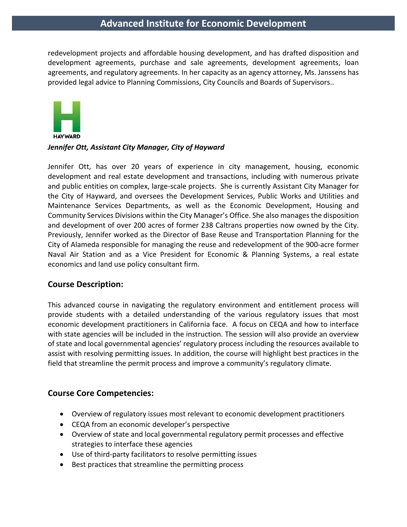# **Advanced Institute for Economic Development**

redevelopment projects and affordable housing development, and has drafted disposition and development agreements, purchase and sale agreements, development agreements, loan agreements, and regulatory agreements. In her capacity as an agency attorney, Ms. Janssens has provided legal advice to Planning Commissions, City Councils and Boards of Supervisors..



#### *Jennifer Ott, Assistant City Manager, City of Hayward*

Jennifer Ott, has over 20 years of experience in city management, housing, economic development and real estate development and transactions, including with numerous private and public entities on complex, large-scale projects. She is currently Assistant City Manager for the City of Hayward, and oversees the Development Services, Public Works and Utilities and Maintenance Services Departments, as well as the Economic Development, Housing and Community Services Divisions within the City Manager's Office. She also manages the disposition and development of over 200 acres of former 238 Caltrans properties now owned by the City. Previously, Jennifer worked as the Director of Base Reuse and Transportation Planning for the City of Alameda responsible for managing the reuse and redevelopment of the 900-acre former Naval Air Station and as a Vice President for Economic & Planning Systems, a real estate economics and land use policy consultant firm.

### **Course Description:**

This advanced course in navigating the regulatory environment and entitlement process will provide students with a detailed understanding of the various regulatory issues that most economic development practitioners in California face. A focus on CEQA and how to interface with state agencies will be included in the instruction. The session will also provide an overview of state and local governmental agencies' regulatory process including the resources available to assist with resolving permitting issues. In addition, the course will highlight best practices in the field that streamline the permit process and improve a community's regulatory climate.

## **Course Core Competencies:**

- Overview of regulatory issues most relevant to economic development practitioners
- CEQA from an economic developer's perspective
- Overview of state and local governmental regulatory permit processes and effective strategies to interface these agencies
- Use of third-party facilitators to resolve permitting issues
- Best practices that streamline the permitting process